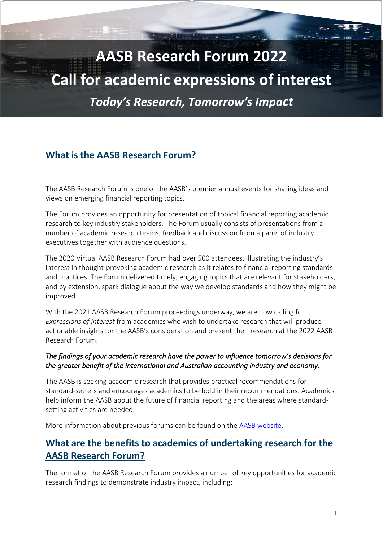# **AASB Research Forum 2022 Call for academic expressions of interest** *Today's Research, Tomorrow's Impact*

**What is the AASB Research Forum?**

The AASB Research Forum is one of the AASB's premier annual events for sharing ideas and views on emerging financial reporting topics.

The Forum provides an opportunity for presentation of topical financial reporting academic research to key industry stakeholders. The Forum usually consists of presentations from a number of academic research teams, feedback and discussion from a panel of industry executives together with audience questions.

The 2020 Virtual AASB Research Forum had over 500 attendees, illustrating the industry's interest in thought-provoking academic research as it relates to financial reporting standards and practices. The Forum delivered timely, engaging topics that are relevant for stakeholders, and by extension, spark dialogue about the way we develop standards and how they might be improved.

With the 2021 AASB Research Forum proceedings underway, we are now calling for *Expressions of Interest* from academics who wish to undertake research that will produce actionable insights for the AASB's consideration and present their research at the 2022 AASB Research Forum.

#### *The findings of your academic research have the power to influence tomorrow's decisions for the greater benefit of the international and Australian accounting industry and economy.*

The AASB is seeking academic research that provides practical recommendations for standard-setters and encourages academics to be bold in their recommendations. Academics help inform the AASB about the future of financial reporting and the areas where standardsetting activities are needed.

More information about previous forums can be found on the AASB [website.](https://aasb.gov.au/research-resources/)

## **What are the benefits to academics of undertaking research for the AASB Research Forum?**

The format of the AASB Research Forum provides a number of key opportunities for academic research findings to demonstrate industry impact, including: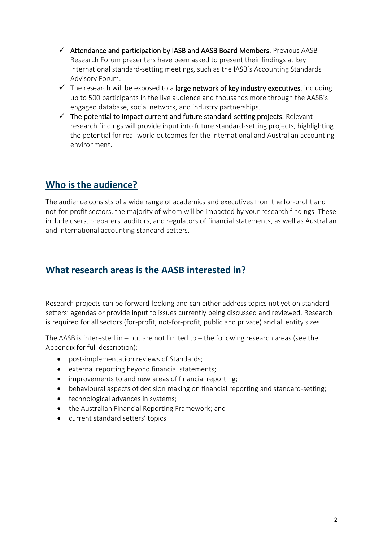- $\checkmark$  Attendance and participation by IASB and AASB Board Members. Previous AASB Research Forum presenters have been asked to present their findings at key international standard-setting meetings, such as the IASB's Accounting Standards Advisory Forum.
- $\checkmark$  The research will be exposed to a large network of key industry executives, including up to 500 participants in the live audience and thousands more through the AASB's engaged database, social network, and industry partnerships.
- $\checkmark$  The potential to impact current and future standard-setting projects. Relevant research findings will provide input into future standard-setting projects, highlighting the potential for real-world outcomes for the International and Australian accounting environment.

## **Who is the audience?**

The audience consists of a wide range of academics and executives from the for-profit and not-for-profit sectors, the majority of whom will be impacted by your research findings. These include users, preparers, auditors, and regulators of financial statements, as well as Australian and international accounting standard-setters.

## **What research areas is the AASB interested in?**

Research projects can be forward-looking and can either address topics not yet on standard setters' agendas or provide input to issues currently being discussed and reviewed. Research is required for all sectors (for-profit, not-for-profit, public and private) and all entity sizes.

The AASB is interested in  $-$  but are not limited to  $-$  the following research areas (see the Appendix for full description):

- post-implementation reviews of Standards;
- external reporting beyond financial statements;
- improvements to and new areas of financial reporting;
- behavioural aspects of decision making on financial reporting and standard-setting;
- technological advances in systems;
- the Australian Financial Reporting Framework; and
- current standard setters' topics.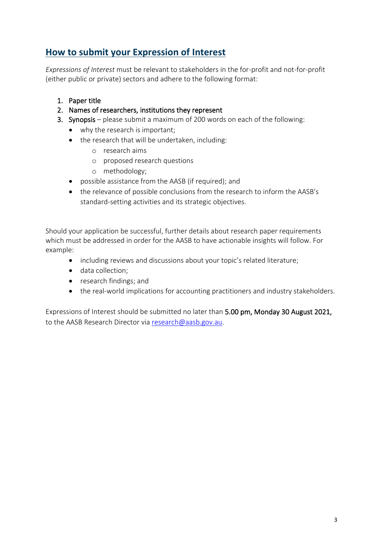## **How to submit your Expression of Interest**

*Expressions of Interest* must be relevant to stakeholders in the for-profit and not-for-profit (either public or private) sectors and adhere to the following format:

- 1. Paper title
- 2. Names of researchers, institutions they represent
- 3. Synopsis please submit a maximum of 200 words on each of the following:
	- why the research is important;
	- the research that will be undertaken, including:
		- o research aims
		- o proposed research questions
		- o methodology;
	- possible assistance from the AASB (if required); and
	- the relevance of possible conclusions from the research to inform the AASB's standard-setting activities and its strategic objectives.

Should your application be successful, further details about research paper requirements which must be addressed in order for the AASB to have actionable insights will follow. For example:

- including reviews and discussions about your topic's related literature;
- data collection;
- research findings; and
- the real-world implications for accounting practitioners and industry stakeholders.

Expressions of Interest should be submitted no later than 5.00 pm, Monday 30 August 2021, to the AASB Research Director via [research@aasb.gov.au.](mailto:research@aasb.gov.au)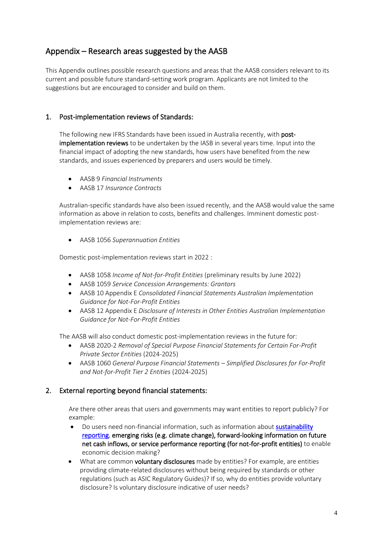### Appendix – Research areas suggested by the AASB

This Appendix outlines possible research questions and areas that the AASB considers relevant to its current and possible future standard-setting work program. Applicants are not limited to the suggestions but are encouraged to consider and build on them.

#### 1. Post-implementation reviews of Standards:

The following new IFRS Standards have been issued in Australia recently, with postimplementation reviews to be undertaken by the IASB in several years time. Input into the financial impact of adopting the new standards, how users have benefited from the new standards, and issues experienced by preparers and users would be timely.

- AASB 9 *Financial Instruments*
- AASB 17 *Insurance Contracts*

Australian-specific standards have also been issued recently, and the AASB would value the same information as above in relation to costs, benefits and challenges. Imminent domestic postimplementation reviews are:

• AASB 1056 *Superannuation Entities*

Domestic post-implementation reviews start in 2022 :

- AASB 1058 *Income of Not-for-Profit Entities* (preliminary results by June 2022)
- AASB 1059 *Service Concession Arrangements: Grantors*
- AASB 10 Appendix E *Consolidated Financial Statements Australian Implementation Guidance for Not-For-Profit Entities*
- AASB 12 Appendix E *Disclosure of Interests in Other Entities Australian Implementation Guidance for Not-For-Profit Entities*

The AASB will also conduct domestic post-implementation reviews in the future for:

- AASB 2020-2 *Removal of Special Purpose Financial Statements for Certain For-Profit Private Sector Entities* (2024-2025)
- AASB 1060 *General Purpose Financial Statements – Simplified Disclosures for For-Profit and Not-for-Profit Tier 2 Entities* (2024-2025)

#### 2. External reporting beyond financial statements:

Are there other areas that users and governments may want entities to report publicly? For example:

- Do users need non-financial information, such as information about sustainability [reporting,](https://www.ifrs.org/projects/work-plan/sustainability-reporting/) emerging risks (e.g. climate change), forward-looking information on future net cash inflows, or service performance reporting (for not-for-profit entities) to enable economic decision making?
- What are common voluntary disclosures made by entities? For example, are entities providing climate-related disclosures without being required by standards or other regulations (such as ASIC Regulatory Guides)? If so, why do entities provide voluntary disclosure? Is voluntary disclosure indicative of user needs?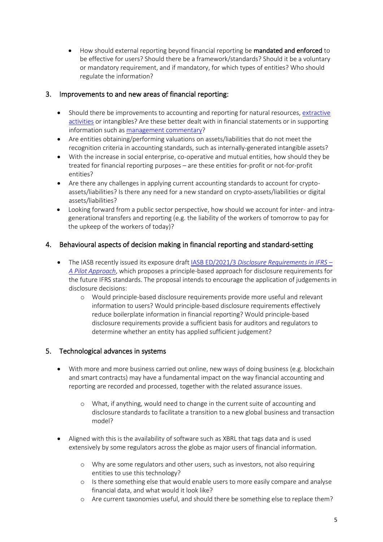• How should external reporting beyond financial reporting be mandated and enforced to be effective for users? Should there be a framework/standards? Should it be a voluntary or mandatory requirement, and if mandatory, for which types of entities? Who should regulate the information?

#### 3. Improvements to and new areas of financial reporting:

- Should there be improvements to accounting and reporting for natural resources, extractive [activities](https://www.ifrs.org/projects/work-plan/extractive-activities/) or intangibles? Are these better dealt with in financial statements or in supporting information such a[s management commentary?](https://www.ifrs.org/projects/work-plan/management-commentary/#about)
- Are entities obtaining/performing valuations on assets/liabilities that do not meet the recognition criteria in accounting standards, such as internally-generated intangible assets?
- With the increase in social enterprise, co-operative and mutual entities, how should they be treated for financial reporting purposes – are these entities for-profit or not-for-profit entities?
- Are there any challenges in applying current accounting standards to account for cryptoassets/liabilities? Is there any need for a new standard on crypto-assets/liabilities or digital assets/liabilities?
- Looking forward from a public sector perspective, how should we account for inter- and intragenerational transfers and reporting (e.g. the liability of the workers of tomorrow to pay for the upkeep of the workers of today)?

#### 4. Behavioural aspects of decision making in financial reporting and standard-setting

- The IASB recently issued its exposure draft IASB ED/2021/3 *[Disclosure Requirements in IFRS](https://www.ifrs.org/projects/work-plan/standards-level-review-of-disclosures/exposure-draft-and-comment-letters/) – [A Pilot Approach](https://www.ifrs.org/projects/work-plan/standards-level-review-of-disclosures/exposure-draft-and-comment-letters/)*, which proposes a principle-based approach for disclosure requirements for the future IFRS standards. The proposal intends to encourage the application of judgements in disclosure decisions:
	- o Would principle-based disclosure requirements provide more useful and relevant information to users? Would principle-based disclosure requirements effectively reduce boilerplate information in financial reporting? Would principle-based disclosure requirements provide a sufficient basis for auditors and regulators to determine whether an entity has applied sufficient judgement?

#### 5. Technological advances in systems

- With more and more business carried out online, new ways of doing business (e.g. blockchain and smart contracts) may have a fundamental impact on the way financial accounting and reporting are recorded and processed, together with the related assurance issues.
	- o What, if anything, would need to change in the current suite of accounting and disclosure standards to facilitate a transition to a new global business and transaction model?
- Aligned with this is the availability of software such as XBRL that tags data and is used extensively by some regulators across the globe as major users of financial information.
	- o Why are some regulators and other users, such as investors, not also requiring entities to use this technology?
	- o Is there something else that would enable users to more easily compare and analyse financial data, and what would it look like?
	- o Are current taxonomies useful, and should there be something else to replace them?